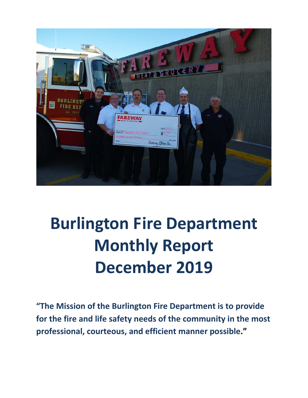

# **Burlington Fire Department Monthly Report December 2019**

**"The Mission of the Burlington Fire Department is to provide for the fire and life safety needs of the community in the most professional, courteous, and efficient manner possible."**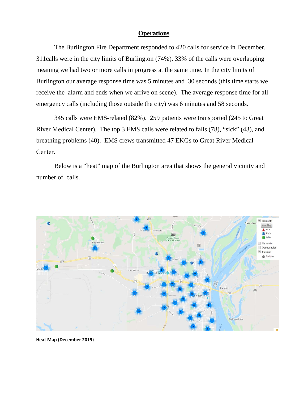#### **Operations**

The Burlington Fire Department responded to 420 calls for service in December. 311calls were in the city limits of Burlington (74%). 33% of the calls were overlapping meaning we had two or more calls in progress at the same time. In the city limits of Burlington our average response time was 5 minutes and 30 seconds (this time starts we receive the alarm and ends when we arrive on scene). The average response time for all emergency calls (including those outside the city) was 6 minutes and 58 seconds.

345 calls were EMS-related (82%). 259 patients were transported (245 to Great River Medical Center). The top 3 EMS calls were related to falls (78), "sick" (43), and breathing problems (40). EMS crews transmitted 47 EKGs to Great River Medical Center.

Below is a "heat" map of the Burlington area that shows the general vicinity and number of calls.



**Heat Map (December 2019)**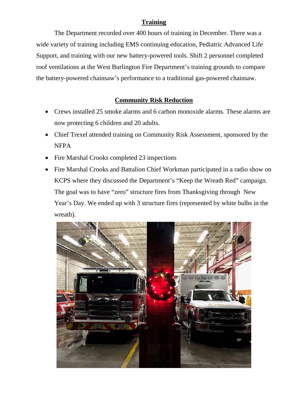#### **Training**

The Department recorded over 400 hours of training in December. There was a wide variety of training including EMS continuing education, Pediatric Advanced Life Support, and training with our new battery-powered tools. Shift 2 personnel completed roof ventilations at the West Burlington Fire Department's training grounds to compare the battery-powered chainsaw's performance to a traditional gas-powered chainsaw.

#### **Community Risk Reduction**

- Crews installed 25 smoke alarms and 6 carbon monoxide alarms. These alarms are now protecting 6 children and 20 adults.
- Chief Trexel attended training on Community Risk Assessment, sponsored by the NFPA
- Fire Marshal Crooks completed 23 inspections
- Fire Marshal Crooks and Battalion Chief Workman participated in a radio show on KCPS where they discussed the Department's "Keep the Wreath Red" campaign. The goal was to have "zero" structure fires from Thanksgiving through New Year's Day. We ended up with 3 structure fires (represented by white bulbs in the wreath).

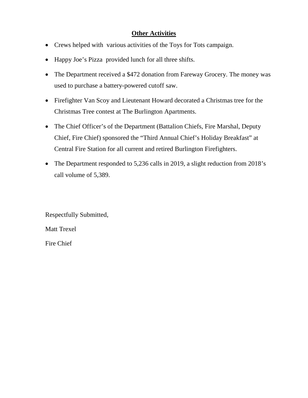#### **Other Activities**

- Crews helped with various activities of the Toys for Tots campaign.
- Happy Joe's Pizza provided lunch for all three shifts.
- The Department received a \$472 donation from Fareway Grocery. The money was used to purchase a battery-powered cutoff saw.
- Firefighter Van Scoy and Lieutenant Howard decorated a Christmas tree for the Christmas Tree contest at The Burlington Apartments.
- The Chief Officer's of the Department (Battalion Chiefs, Fire Marshal, Deputy Chief, Fire Chief) sponsored the "Third Annual Chief's Holiday Breakfast" at Central Fire Station for all current and retired Burlington Firefighters.
- The Department responded to 5,236 calls in 2019, a slight reduction from 2018's call volume of 5,389.

Respectfully Submitted,

Matt Trexel

Fire Chief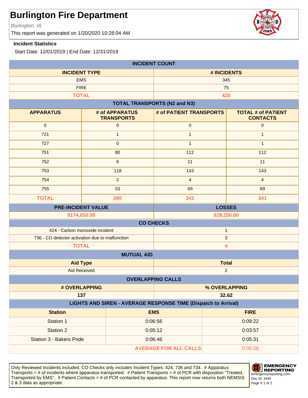Burlington, IA

This report was generated on 1/20/2020 10:28:04 AM

#### **Incident Statistics**

Start Date: 12/01/2019 | End Date: 12/31/2019

| <b>INCIDENT COUNT</b>                                                        |                                            |                                     |                |                                              |  |
|------------------------------------------------------------------------------|--------------------------------------------|-------------------------------------|----------------|----------------------------------------------|--|
| <b>INCIDENT TYPE</b>                                                         |                                            | # INCIDENTS                         |                |                                              |  |
| <b>EMS</b>                                                                   |                                            | 345                                 |                |                                              |  |
| <b>FIRE</b>                                                                  |                                            | 75                                  |                |                                              |  |
| <b>TOTAL</b>                                                                 |                                            |                                     | 420            |                                              |  |
|                                                                              |                                            | <b>TOTAL TRANSPORTS (N2 and N3)</b> |                |                                              |  |
| <b>APPARATUS</b>                                                             | # of APPARATUS<br><b>TRANSPORTS</b>        | # of PATIENT TRANSPORTS             |                | <b>TOTAL # of PATIENT</b><br><b>CONTACTS</b> |  |
| $\mathbf 0$                                                                  | $\mathbf 0$                                | $\pmb{0}$                           |                | $\mathbf 0$                                  |  |
| 721                                                                          | $\mathbf{1}$                               | $\mathbf{1}$                        |                | $\mathbf{1}$                                 |  |
| 727                                                                          | $\mathbf{0}$                               | $\mathbf{1}$                        |                | $\mathbf{1}$                                 |  |
| 751                                                                          | 80                                         | 112                                 |                | 112                                          |  |
| 752                                                                          | 6                                          | 11                                  |                | 11                                           |  |
| 753                                                                          | 118                                        | 143                                 |                | 143                                          |  |
| 754                                                                          | 2                                          | $\overline{4}$                      |                | $\overline{4}$                               |  |
| 755                                                                          | 53                                         | 69                                  |                | 69                                           |  |
| <b>TOTAL</b>                                                                 | 260                                        | 341                                 |                | 341                                          |  |
| <b>PRE-INCIDENT VALUE</b><br><b>LOSSES</b>                                   |                                            |                                     |                |                                              |  |
|                                                                              | \$174,650.00<br>\$29,250.00                |                                     |                |                                              |  |
| <b>CO CHECKS</b>                                                             |                                            |                                     |                |                                              |  |
| 424 - Carbon monoxide incident<br>$\mathbf{1}$                               |                                            |                                     |                |                                              |  |
| 736 - CO detector activation due to malfunction                              |                                            | 3                                   |                |                                              |  |
| <b>TOTAL</b><br>4                                                            |                                            |                                     |                |                                              |  |
|                                                                              | <b>MUTUAL AID</b>                          |                                     |                |                                              |  |
| <b>Aid Type</b>                                                              |                                            | <b>Total</b>                        |                |                                              |  |
| <b>Aid Received</b>                                                          |                                            |                                     | $\overline{c}$ |                                              |  |
| <b>OVERLAPPING CALLS</b>                                                     |                                            |                                     |                |                                              |  |
| # OVERLAPPING                                                                |                                            | % OVERLAPPING                       |                |                                              |  |
| 137<br>32.62                                                                 |                                            |                                     |                |                                              |  |
| LIGHTS AND SIREN - AVERAGE RESPONSE TIME (Dispatch to Arrival)<br><b>EMS</b> |                                            |                                     |                |                                              |  |
| <b>Station</b>                                                               |                                            |                                     |                | <b>FIRE</b>                                  |  |
| Station 1                                                                    |                                            | 0:06:56                             |                | 0:09:22                                      |  |
| <b>Station 2</b>                                                             |                                            | 0:05:12                             |                | 0:03:57                                      |  |
|                                                                              | <b>Station 3 - Bakers Pride</b><br>0:06:46 |                                     |                | 0:05:31                                      |  |
| <b>AVERAGE FOR ALL CALLS</b><br>0:06:58                                      |                                            |                                     |                |                                              |  |

Only Reviewed Incidents included. CO Checks only includes Incident Types: 424, 736 and 734. # Apparatus Transports = # of incidents where apparatus transported. # Patient Transports = # of PCR with disposition "Treated, Transported by EMS". # Patient Contacts = # of PCR contacted by apparatus. This report now returns both NEMSIS 2 & 3 data as appropriate. The set of 2 set of 2 set of 2 set of 2 set of 2 set of 2 set of 2 set of 2 set of 2



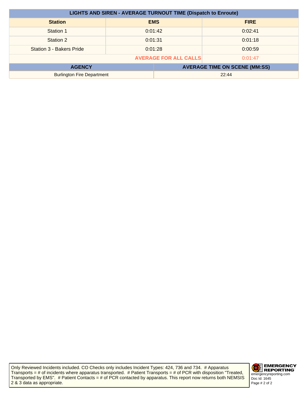| <b>LIGHTS AND SIREN - AVERAGE TURNOUT TIME (Dispatch to Enroute)</b> |                    |            |             |
|----------------------------------------------------------------------|--------------------|------------|-------------|
| <b>Station</b>                                                       |                    | <b>EMS</b> | <b>FIRE</b> |
| Station 1                                                            |                    | 0:01:42    | 0:02:41     |
| Station 2                                                            | 0:01:18<br>0:01:31 |            |             |
| Station 3 - Bakers Pride                                             | 0:01:28            |            | 0:00:59     |
| <b>AVERAGE FOR ALL CALLS</b><br>0:01:47                              |                    |            |             |
| <b>AVERAGE TIME ON SCENE (MM:SS)</b><br><b>AGENCY</b>                |                    |            |             |
| <b>Burlington Fire Department</b>                                    |                    |            | 22:44       |

Only Reviewed Incidents included. CO Checks only includes Incident Types: 424, 736 and 734. # Apparatus Transports = # of incidents where apparatus transported. # Patient Transports = # of PCR with disposition "Treated, Transported by EMS". # Patient Contacts = # of PCR contacted by apparatus. This report now returns both NEMSIS 2 & 3 data as appropriate.

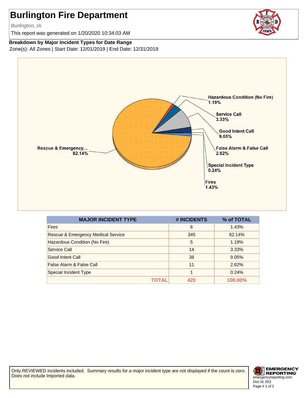Burlington, IA

This report was generated on 1/20/2020 10:34:03 AM

#### **Breakdown by Major Incident Types for Date Range**

Zone(s): All Zones | Start Date: 12/01/2019 | End Date: 12/31/2019



| <b>MAJOR INCIDENT TYPE</b>                    | # INCIDENTS | % of TOTAL |
|-----------------------------------------------|-------------|------------|
| <b>Fires</b>                                  | 6           | 1.43%      |
| <b>Rescue &amp; Emergency Medical Service</b> | 345         | 82.14%     |
| Hazardous Condition (No Fire)                 | 5           | 1.19%      |
| Service Call                                  | 14          | 3.33%      |
| Good Intent Call                              | 38          | 9.05%      |
| False Alarm & False Call                      | 11          | 2.62%      |
| Special Incident Type                         | 1           | 0.24%      |
| ΤΩΤΑΙ                                         | 420         | 100.00%    |

Only REVIEWED incidents included. Summary results for a major incident type are not displayed if the count is zero. Does not include Imported data.



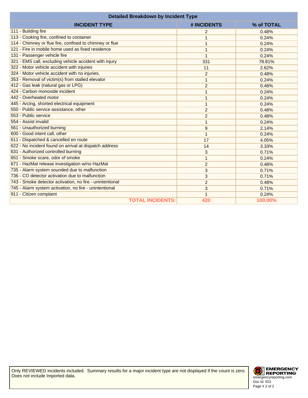| <b>Detailed Breakdown by Incident Type</b>               |                |            |
|----------------------------------------------------------|----------------|------------|
| <b>INCIDENT TYPE</b>                                     | # INCIDENTS    | % of TOTAL |
| 111 - Building fire                                      | 2              | 0.48%      |
| 113 - Cooking fire, confined to container                |                | 0.24%      |
| 114 - Chimney or flue fire, confined to chimney or flue  |                | 0.24%      |
| 121 - Fire in mobile home used as fixed residence        |                | 0.24%      |
| 131 - Passenger vehicle fire                             | 1              | 0.24%      |
| 321 - EMS call, excluding vehicle accident with injury   | 331            | 78.81%     |
| 322 - Motor vehicle accident with injuries               | 11             | 2.62%      |
| 324 - Motor vehicle accident with no injuries.           | $\overline{2}$ | 0.48%      |
| 353 - Removal of victim(s) from stalled elevator         | 1              | 0.24%      |
| 412 - Gas leak (natural gas or LPG)                      | 2              | 0.48%      |
| 424 - Carbon monoxide incident                           |                | 0.24%      |
| 442 - Overheated motor                                   | 1              | 0.24%      |
| 445 - Arcing, shorted electrical equipment               | 1              | 0.24%      |
| 550 - Public service assistance, other                   | $\overline{2}$ | 0.48%      |
| 553 - Public service                                     | 2              | 0.48%      |
| 554 - Assist invalid                                     | 1              | 0.24%      |
| 561 - Unauthorized burning                               | 9              | 2.14%      |
| 600 - Good intent call, other                            | $\mathbf 1$    | 0.24%      |
| 611 - Dispatched & cancelled en route                    | 17             | 4.05%      |
| 622 - No incident found on arrival at dispatch address   | 14             | 3.33%      |
| 631 - Authorized controlled burning                      | 3              | 0.71%      |
| 651 - Smoke scare, odor of smoke                         | $\mathbf{1}$   | 0.24%      |
| 671 - HazMat release investigation w/no HazMat           | $\overline{2}$ | 0.48%      |
| 735 - Alarm system sounded due to malfunction            | 3              | 0.71%      |
| 736 - CO detector activation due to malfunction          | 3              | 0.71%      |
| 743 - Smoke detector activation, no fire - unintentional | $\overline{c}$ | 0.48%      |
| 745 - Alarm system activation, no fire - unintentional   | 3              | 0.71%      |
| 911 - Citizen complaint                                  |                | 0.24%      |
| <b>TOTAL INCIDENTS:</b>                                  | 420            | 100.00%    |

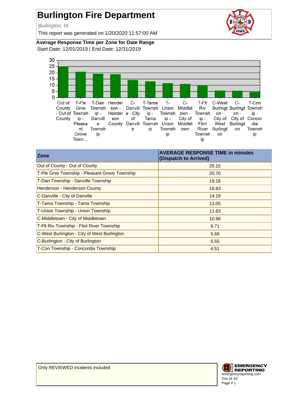Burlington, IA

This report was generated on 1/20/2020 11:57:00 AM



**Average Response Time per Zone for Date Range** Start Date: 12/01/2019 | End Date: 12/31/2019



| <b>Zone</b>                                   | <b>AVERAGE RESPONSE TIME in minutes</b><br>(Dispatch to Arrived) |
|-----------------------------------------------|------------------------------------------------------------------|
| Out of County - Out of County                 | 25.15                                                            |
| T-Ple Grve Township - Pleasant Grove Township | 20.70                                                            |
| T-Dan Township - Danville Township            | 19.18                                                            |
| Henderson - Henderson County                  | 18.83                                                            |
| C-Danville - City of Danville                 | 14.19                                                            |
| T-Tama Township - Tama Township               | 13.05                                                            |
| T-Union Township - Union Township             | 11.63                                                            |
| C-Middletown - City of Middletown             | 10.98                                                            |
| T-Flt Riv Township - Flint River Township     | 9.71                                                             |
| C-West Burlington - City of West Burlington   | 5.69                                                             |
| C-Burlington - City of Burlington             | 5.55                                                             |
| T-Con Township - Concordia Township           | 4.51                                                             |

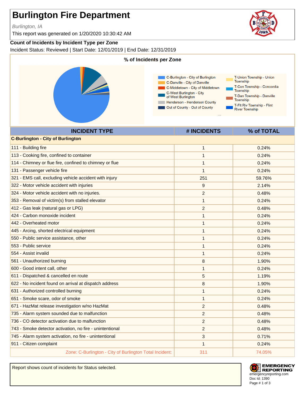Burlington, IA

This report was generated on 1/20/2020 10:30:42 AM

#### **Count of Incidents by Incident Type per Zone**

Incident Status: Reviewed | Start Date: 12/01/2019 | End Date: 12/31/2019



| <b>C-Burlington - City of Burlington</b>                 |                |        |
|----------------------------------------------------------|----------------|--------|
| 111 - Building fire                                      | $\mathbf{1}$   | 0.24%  |
| 113 - Cooking fire, confined to container                | $\mathbf 1$    | 0.24%  |
| 114 - Chimney or flue fire, confined to chimney or flue  | 1              | 0.24%  |
| 131 - Passenger vehicle fire                             | 1              | 0.24%  |
| 321 - EMS call, excluding vehicle accident with injury   | 251            | 59.76% |
| 322 - Motor vehicle accident with injuries               | 9              | 2.14%  |
| 324 - Motor vehicle accident with no injuries.           | $\overline{2}$ | 0.48%  |
| 353 - Removal of victim(s) from stalled elevator         | $\mathbf{1}$   | 0.24%  |
| 412 - Gas leak (natural gas or LPG)                      | $\overline{c}$ | 0.48%  |
| 424 - Carbon monoxide incident                           | $\mathbf{1}$   | 0.24%  |
| 442 - Overheated motor                                   | $\mathbf{1}$   | 0.24%  |
| 445 - Arcing, shorted electrical equipment               | $\mathbf{1}$   | 0.24%  |
| 550 - Public service assistance, other                   | 1              | 0.24%  |
| 553 - Public service                                     | $\mathbf{1}$   | 0.24%  |
| 554 - Assist invalid                                     | 1              | 0.24%  |
| 561 - Unauthorized burning                               | 8              | 1.90%  |
| 600 - Good intent call, other                            | $\mathbf{1}$   | 0.24%  |
| 611 - Dispatched & cancelled en route                    | 5              | 1.19%  |
| 622 - No incident found on arrival at dispatch address   | 8              | 1.90%  |
| 631 - Authorized controlled burning                      | 1              | 0.24%  |
| 651 - Smoke scare, odor of smoke                         | $\mathbf{1}$   | 0.24%  |
| 671 - HazMat release investigation w/no HazMat           | $\overline{2}$ | 0.48%  |
| 735 - Alarm system sounded due to malfunction            | 2              | 0.48%  |
| 736 - CO detector activation due to malfunction          | 2              | 0.48%  |
| 743 - Smoke detector activation, no fire - unintentional | $\overline{c}$ | 0.48%  |
| 745 - Alarm system activation, no fire - unintentional   | 3              | 0.71%  |
| 911 - Citizen complaint                                  | $\mathbf{1}$   | 0.24%  |
| Zone: C-Burlington - City of Burlington Total Incident:  | 311            | 74.05% |

Report shows count of incidents for Status selected.



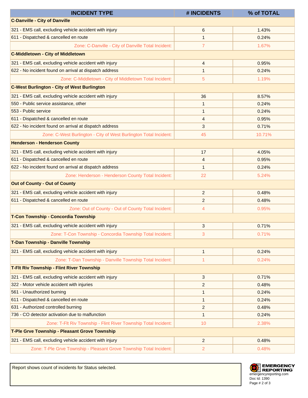| <b>INCIDENT TYPE</b>                                                | # INCIDENTS             | % of TOTAL |
|---------------------------------------------------------------------|-------------------------|------------|
| <b>C-Danville - City of Danville</b>                                |                         |            |
| 321 - EMS call, excluding vehicle accident with injury              | 6                       | 1.43%      |
| 611 - Dispatched & cancelled en route                               | $\mathbf{1}$            | 0.24%      |
| Zone: C-Danville - City of Danville Total Incident:                 | $\overline{7}$          | 1.67%      |
| <b>C-Middletown - City of Middletown</b>                            |                         |            |
| 321 - EMS call, excluding vehicle accident with injury              | 4                       | 0.95%      |
| 622 - No incident found on arrival at dispatch address              | $\mathbf{1}$            | 0.24%      |
| Zone: C-Middletown - City of Middletown Total Incident:             | 5                       | 1.19%      |
| <b>C-West Burlington - City of West Burlington</b>                  |                         |            |
| 321 - EMS call, excluding vehicle accident with injury              | 36                      | 8.57%      |
| 550 - Public service assistance, other                              | $\mathbf{1}$            | 0.24%      |
| 553 - Public service                                                | $\mathbf 1$             | 0.24%      |
| 611 - Dispatched & cancelled en route                               | 4                       | 0.95%      |
| 622 - No incident found on arrival at dispatch address              | 3                       | 0.71%      |
| Zone: C-West Burlington - City of West Burlington Total Incident:   | 45                      | 10.71%     |
| <b>Henderson - Henderson County</b>                                 |                         |            |
| 321 - EMS call, excluding vehicle accident with injury              | 17                      | 4.05%      |
| 611 - Dispatched & cancelled en route                               | 4                       | 0.95%      |
| 622 - No incident found on arrival at dispatch address              | $\mathbf{1}$            | 0.24%      |
| Zone: Henderson - Henderson County Total Incident:                  | 22                      | 5.24%      |
| <b>Out of County - Out of County</b>                                |                         |            |
| 321 - EMS call, excluding vehicle accident with injury              | 2                       | 0.48%      |
| 611 - Dispatched & cancelled en route                               | $\overline{c}$          | 0.48%      |
| Zone: Out of County - Out of County Total Incident:                 | 4                       | 0.95%      |
| T-Con Township - Concordia Township                                 |                         |            |
| 321 - EMS call, excluding vehicle accident with injury              | 3                       | 0.71%      |
| Zone: T-Con Township - Concordia Township Total Incident:           | 3                       | 0.71%      |
| T-Dan Township - Danville Township                                  |                         |            |
| 321 - EMS call, excluding vehicle accident with injury              | $\mathbf{1}$            | 0.24%      |
| Zone: T-Dan Township - Danville Township Total Incident:            | 1                       | 0.24%      |
| <b>T-FIt Riv Township - Flint River Township</b>                    |                         |            |
| 321 - EMS call, excluding vehicle accident with injury              | 3                       | 0.71%      |
| 322 - Motor vehicle accident with injuries                          | $\overline{c}$          | 0.48%      |
| 561 - Unauthorized burning                                          | 1                       | 0.24%      |
| 611 - Dispatched & cancelled en route                               | $\mathbf{1}$            | 0.24%      |
| 631 - Authorized controlled burning                                 | $\overline{\mathbf{c}}$ | 0.48%      |
| 736 - CO detector activation due to malfunction                     | $\mathbf{1}$            | 0.24%      |
| Zone: T-Flt Riv Township - Flint River Township Total Incident:     | 10 <sup>°</sup>         | 2.38%      |
| T-Ple Grve Township - Pleasant Grove Township                       |                         |            |
| 321 - EMS call, excluding vehicle accident with injury              | $\overline{c}$          | 0.48%      |
| Zone: T-Ple Grve Township - Pleasant Grove Township Total Incident: | 2                       | 0.48%      |

Report shows count of incidents for Status selected.

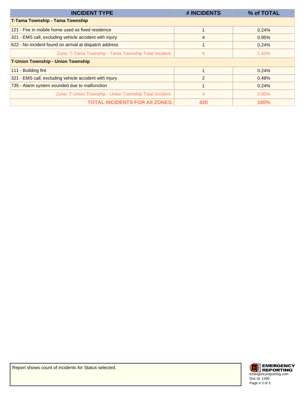| <b>INCIDENT TYPE</b>                                    | # INCIDENTS    | % of TOTAL  |
|---------------------------------------------------------|----------------|-------------|
| T-Tama Township - Tama Township                         |                |             |
| 121 - Fire in mobile home used as fixed residence       |                | 0.24%       |
| 321 - EMS call, excluding vehicle accident with injury  | 4              | 0.95%       |
| 622 - No incident found on arrival at dispatch address  |                | 0.24%       |
| Zone: T-Tama Township - Tama Township Total Incident:   | 6              | 1.43%       |
| <b>T-Union Township - Union Township</b>                |                |             |
| 111 - Building fire                                     |                | 0.24%       |
| 321 - EMS call, excluding vehicle accident with injury  | $\overline{2}$ | 0.48%       |
| 735 - Alarm system sounded due to malfunction           |                | 0.24%       |
| Zone: T-Union Township - Union Township Total Incident: | 4              | 0.95%       |
| <b>TOTAL INCIDENTS FOR AII ZONES:</b>                   | 420            | <b>100%</b> |

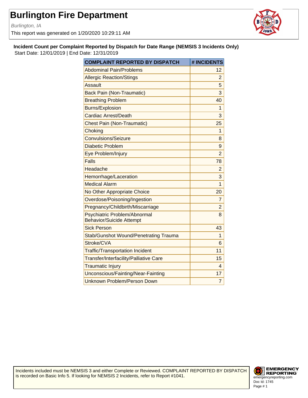Burlington, IA

This report was generated on 1/20/2020 10:29:11 AM



**Incident Count per Complaint Reported by Dispatch for Date Range (NEMSIS 3 Incidents Only)** Start Date: 12/01/2019 | End Date: 12/31/2019

| <b>COMPLAINT REPORTED BY DISPATCH</b>                           | # INCIDENTS    |
|-----------------------------------------------------------------|----------------|
| <b>Abdominal Pain/Problems</b>                                  | 12             |
| <b>Allergic Reaction/Stings</b>                                 | 2              |
| Assault                                                         | 5              |
| <b>Back Pain (Non-Traumatic)</b>                                | 3              |
| <b>Breathing Problem</b>                                        | 40             |
| <b>Burns/Explosion</b>                                          | 1              |
| <b>Cardiac Arrest/Death</b>                                     | 3              |
| <b>Chest Pain (Non-Traumatic)</b>                               | 25             |
| Choking                                                         | 1              |
| Convulsions/Seizure                                             | 8              |
| <b>Diabetic Problem</b>                                         | 9              |
| Eye Problem/Injury                                              | $\overline{2}$ |
| <b>Falls</b>                                                    | 78             |
| Headache                                                        | $\overline{2}$ |
| Hemorrhage/Laceration                                           | 3              |
| <b>Medical Alarm</b>                                            | $\overline{1}$ |
| No Other Appropriate Choice                                     | 20             |
| Overdose/Poisoning/Ingestion                                    | 7              |
| Pregnancy/Childbirth/Miscarriage                                | $\overline{2}$ |
| Psychiatric Problem/Abnormal<br><b>Behavior/Suicide Attempt</b> | 8              |
| <b>Sick Person</b>                                              | 43             |
| <b>Stab/Gunshot Wound/Penetrating Trauma</b>                    | 1              |
| Stroke/CVA                                                      | 6              |
| <b>Traffic/Transportation Incident</b>                          | 11             |
| Transfer/Interfacility/Palliative Care                          | 15             |
| <b>Traumatic Injury</b>                                         | 4              |
| Unconscious/Fainting/Near-Fainting                              | 17             |
| Unknown Problem/Person Down                                     | $\overline{7}$ |

Incidents included must be NEMSIS 3 and either Complete or Reviewed. COMPLAINT REPORTED BY DISPATCH is recorded on Basic Info 5. If looking for NEMSIS 2 Incidents, refer to Report #1041.

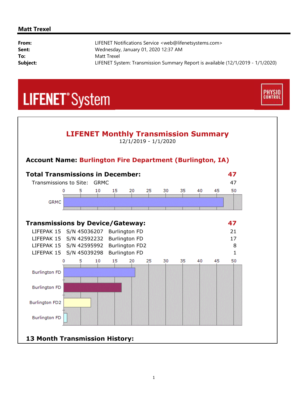#### **Matt Trexel**

| From:    | LIFENET Notifications Service <web@lifenetsystems.com></web@lifenetsystems.com> |
|----------|---------------------------------------------------------------------------------|
| Sent:    | Wednesday, January 01, 2020 12:37 AM                                            |
| To:      | Matt Trexel                                                                     |
| Subject: | LIFENET System: Transmission Summary Report is available (12/1/2019 - 1/1/2020) |

**PHYSIO**<br>CONTROL

## **LIFENET**<sup>\*</sup>System